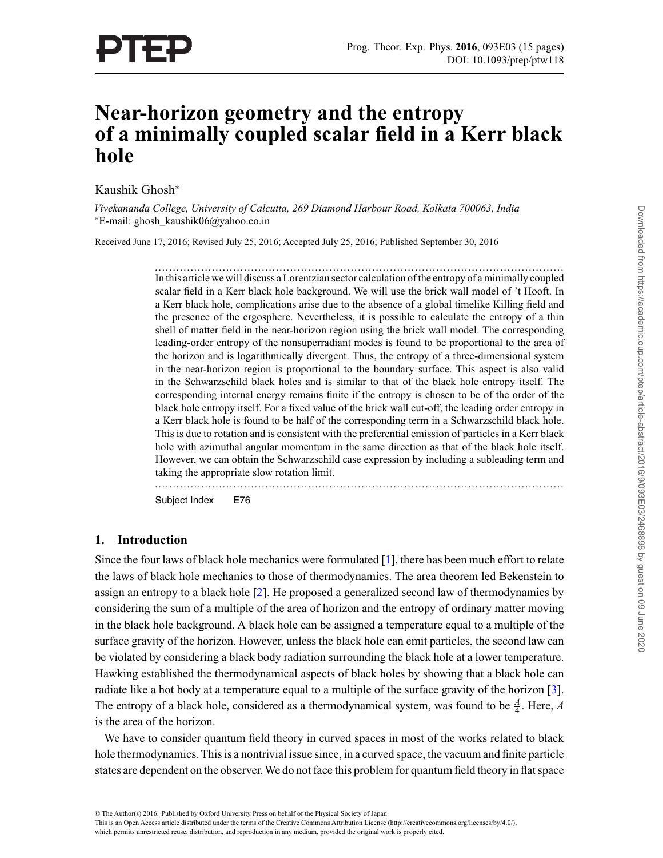# **Near-horizon geometry and the entropy of a minimally coupled scalar field in a Kerr black hole**

Kaushik Ghosh<sup>∗</sup>

*Vivekananda College, University of Calcutta, 269 Diamond Harbour Road, Kolkata 700063, India* <sup>∗</sup>E-mail: ghosh\_kaushik06@yahoo.co.in

Received June 17, 2016; Revised July 25, 2016; Accepted July 25, 2016; Published September 30, 2016

................................................................................................................... In this article we will discuss a Lorentzian sector calculation of the entropy of a minimally coupled scalar field in a Kerr black hole background. We will use the brick wall model of 't Hooft. In a Kerr black hole, complications arise due to the absence of a global timelike Killing field and the presence of the ergosphere. Nevertheless, it is possible to calculate the entropy of a thin shell of matter field in the near-horizon region using the brick wall model. The corresponding leading-order entropy of the nonsuperradiant modes is found to be proportional to the area of the horizon and is logarithmically divergent. Thus, the entropy of a three-dimensional system in the near-horizon region is proportional to the boundary surface. This aspect is also valid in the Schwarzschild black holes and is similar to that of the black hole entropy itself. The corresponding internal energy remains finite if the entropy is chosen to be of the order of the black hole entropy itself. For a fixed value of the brick wall cut-off, the leading order entropy in a Kerr black hole is found to be half of the corresponding term in a Schwarzschild black hole. This is due to rotation and is consistent with the preferential emission of particles in a Kerr black hole with azimuthal angular momentum in the same direction as that of the black hole itself. However, we can obtain the Schwarzschild case expression by including a subleading term and taking the appropriate slow rotation limit.

................................................................................................................... Subject Index E76

## **1. Introduction**

Since the four laws of black hole mechanics were formulated [\[1](#page-13-0)], there has been much effort to relate the laws of black hole mechanics to those of thermodynamics. The area theorem led Bekenstein to assign an entropy to a black hole [\[2\]](#page-13-0). He proposed a generalized second law of thermodynamics by considering the sum of a multiple of the area of horizon and the entropy of ordinary matter moving in the black hole background. A black hole can be assigned a temperature equal to a multiple of the surface gravity of the horizon. However, unless the black hole can emit particles, the second law can be violated by considering a black body radiation surrounding the black hole at a lower temperature. Hawking established the thermodynamical aspects of black holes by showing that a black hole can radiate like a hot body at a temperature equal to a multiple of the surface gravity of the horizon [\[3\]](#page-13-0). The entropy of a black hole, considered as a thermodynamical system, was found to be  $\frac{A}{4}$ . Here, *A* is the area of the horizon.

We have to consider quantum field theory in curved spaces in most of the works related to black hole thermodynamics. This is a nontrivial issue since, in a curved space, the vacuum and finite particle states are dependent on the observer.We do not face this problem for quantum field theory in flat space

This is an Open Access article distributed under the terms of the Creative Commons Attribution License (http://creativecommons.org/licenses/by/4.0/), which permits unrestricted reuse, distribution, and reproduction in any medium, provided the original work is properly cited.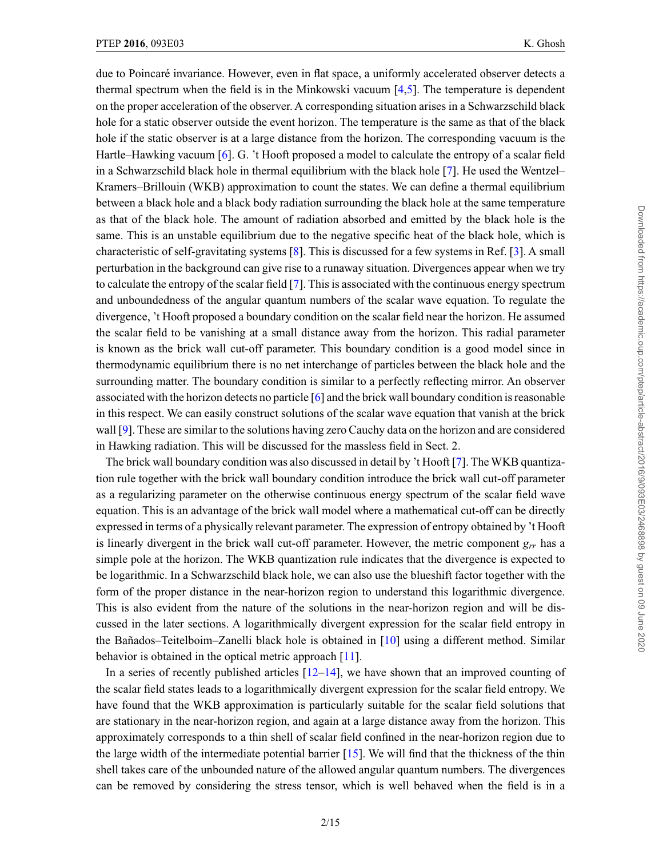due to Poincaré invariance. However, even in flat space, a uniformly accelerated observer detects a thermal spectrum when the field is in the Minkowski vacuum [\[4,5](#page-13-0)]. The temperature is dependent on the proper acceleration of the observer. A corresponding situation arises in a Schwarzschild black hole for a static observer outside the event horizon. The temperature is the same as that of the black hole if the static observer is at a large distance from the horizon. The corresponding vacuum is the Hartle–Hawking vacuum [\[6](#page-13-0)]. G. 't Hooft proposed a model to calculate the entropy of a scalar field in a Schwarzschild black hole in thermal equilibrium with the black hole [\[7](#page-13-0)]. He used the Wentzel– Kramers–Brillouin (WKB) approximation to count the states. We can define a thermal equilibrium between a black hole and a black body radiation surrounding the black hole at the same temperature as that of the black hole. The amount of radiation absorbed and emitted by the black hole is the same. This is an unstable equilibrium due to the negative specific heat of the black hole, which is characteristic of self-gravitating systems [\[8](#page-13-0)]. This is discussed for a few systems in Ref. [\[3\]](#page-13-0). A small perturbation in the background can give rise to a runaway situation. Divergences appear when we try to calculate the entropy of the scalar field [\[7](#page-13-0)]. This is associated with the continuous energy spectrum and unboundedness of the angular quantum numbers of the scalar wave equation. To regulate the divergence, 't Hooft proposed a boundary condition on the scalar field near the horizon. He assumed the scalar field to be vanishing at a small distance away from the horizon. This radial parameter is known as the brick wall cut-off parameter. This boundary condition is a good model since in thermodynamic equilibrium there is no net interchange of particles between the black hole and the surrounding matter. The boundary condition is similar to a perfectly reflecting mirror. An observer associated with the horizon detects no particle [\[6](#page-13-0)] and the brick wall boundary condition is reasonable in this respect. We can easily construct solutions of the scalar wave equation that vanish at the brick wall [\[9\]](#page-13-0). These are similar to the solutions having zero Cauchy data on the horizon and are considered in Hawking radiation. This will be discussed for the massless field in Sect. 2.

The brick wall boundary condition was also discussed in detail by 't Hooft [\[7\]](#page-13-0). TheWKB quantization rule together with the brick wall boundary condition introduce the brick wall cut-off parameter as a regularizing parameter on the otherwise continuous energy spectrum of the scalar field wave equation. This is an advantage of the brick wall model where a mathematical cut-off can be directly expressed in terms of a physically relevant parameter. The expression of entropy obtained by 't Hooft is linearly divergent in the brick wall cut-off parameter. However, the metric component *grr* has a simple pole at the horizon. The WKB quantization rule indicates that the divergence is expected to be logarithmic. In a Schwarzschild black hole, we can also use the blueshift factor together with the form of the proper distance in the near-horizon region to understand this logarithmic divergence. This is also evident from the nature of the solutions in the near-horizon region and will be discussed in the later sections. A logarithmically divergent expression for the scalar field entropy in the Bañados–Teitelboim–Zanelli black hole is obtained in [\[10\]](#page-13-0) using a different method. Similar behavior is obtained in the optical metric approach [\[11](#page-13-0)].

In a series of recently published articles  $[12-14]$ , we have shown that an improved counting of the scalar field states leads to a logarithmically divergent expression for the scalar field entropy. We have found that the WKB approximation is particularly suitable for the scalar field solutions that are stationary in the near-horizon region, and again at a large distance away from the horizon. This approximately corresponds to a thin shell of scalar field confined in the near-horizon region due to the large width of the intermediate potential barrier [\[15](#page-13-0)]. We will find that the thickness of the thin shell takes care of the unbounded nature of the allowed angular quantum numbers. The divergences can be removed by considering the stress tensor, which is well behaved when the field is in a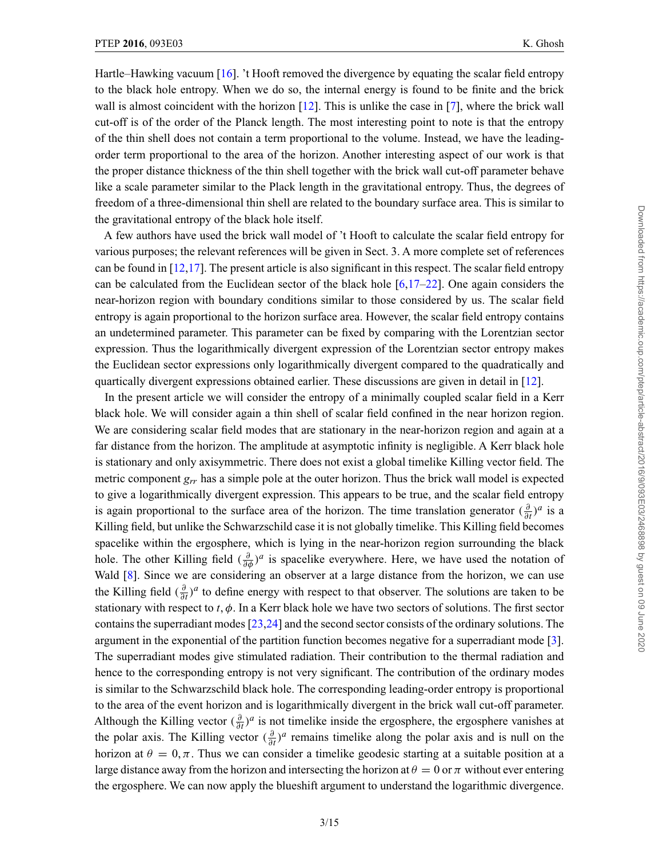Hartle–Hawking vacuum [\[16\]](#page-13-0). 't Hooft removed the divergence by equating the scalar field entropy to the black hole entropy. When we do so, the internal energy is found to be finite and the brick wall is almost coincident with the horizon [\[12](#page-13-0)]. This is unlike the case in [\[7](#page-13-0)], where the brick wall cut-off is of the order of the Planck length. The most interesting point to note is that the entropy of the thin shell does not contain a term proportional to the volume. Instead, we have the leadingorder term proportional to the area of the horizon. Another interesting aspect of our work is that the proper distance thickness of the thin shell together with the brick wall cut-off parameter behave like a scale parameter similar to the Plack length in the gravitational entropy. Thus, the degrees of freedom of a three-dimensional thin shell are related to the boundary surface area. This is similar to the gravitational entropy of the black hole itself.

A few authors have used the brick wall model of 't Hooft to calculate the scalar field entropy for various purposes; the relevant references will be given in Sect. 3. A more complete set of references can be found in  $[12,17]$ . The present article is also significant in this respect. The scalar field entropy can be calculated from the Euclidean sector of the black hole  $[6,17-22]$ . One again considers the near-horizon region with boundary conditions similar to those considered by us. The scalar field entropy is again proportional to the horizon surface area. However, the scalar field entropy contains an undetermined parameter. This parameter can be fixed by comparing with the Lorentzian sector expression. Thus the logarithmically divergent expression of the Lorentzian sector entropy makes the Euclidean sector expressions only logarithmically divergent compared to the quadratically and quartically divergent expressions obtained earlier. These discussions are given in detail in [\[12](#page-13-0)].

In the present article we will consider the entropy of a minimally coupled scalar field in a Kerr black hole. We will consider again a thin shell of scalar field confined in the near horizon region. We are considering scalar field modes that are stationary in the near-horizon region and again at a far distance from the horizon. The amplitude at asymptotic infinity is negligible. A Kerr black hole is stationary and only axisymmetric. There does not exist a global timelike Killing vector field. The metric component *grr* has a simple pole at the outer horizon. Thus the brick wall model is expected to give a logarithmically divergent expression. This appears to be true, and the scalar field entropy is again proportional to the surface area of the horizon. The time translation generator  $(\frac{\partial}{\partial t})^a$  is a Killing field, but unlike the Schwarzschild case it is not globally timelike. This Killing field becomes spacelike within the ergosphere, which is lying in the near-horizon region surrounding the black hole. The other Killing field  $(\frac{\partial}{\partial \phi})^a$  is spacelike everywhere. Here, we have used the notation of Wald [\[8\]](#page-13-0). Since we are considering an observer at a large distance from the horizon, we can use the Killing field  $(\frac{\partial}{\partial t})^a$  to define energy with respect to that observer. The solutions are taken to be stationary with respect to  $t$ ,  $\phi$ . In a Kerr black hole we have two sectors of solutions. The first sector contains the superradiant modes [\[23,24](#page-13-0)] and the second sector consists of the ordinary solutions. The argument in the exponential of the partition function becomes negative for a superradiant mode [\[3\]](#page-13-0). The superradiant modes give stimulated radiation. Their contribution to the thermal radiation and hence to the corresponding entropy is not very significant. The contribution of the ordinary modes is similar to the Schwarzschild black hole. The corresponding leading-order entropy is proportional to the area of the event horizon and is logarithmically divergent in the brick wall cut-off parameter. Although the Killing vector  $(\frac{\partial}{\partial t})^a$  is not timelike inside the ergosphere, the ergosphere vanishes at the polar axis. The Killing vector  $(\frac{\partial}{\partial t})^a$  remains timelike along the polar axis and is null on the horizon at  $\theta = 0, \pi$ . Thus we can consider a timelike geodesic starting at a suitable position at a large distance away from the horizon and intersecting the horizon at  $\theta = 0$  or  $\pi$  without ever entering the ergosphere. We can now apply the blueshift argument to understand the logarithmic divergence.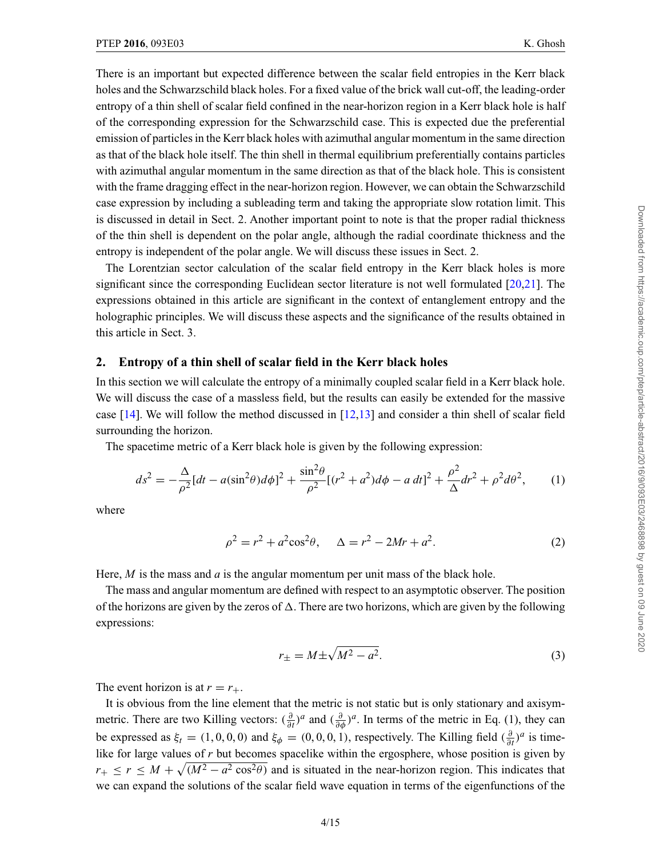There is an important but expected difference between the scalar field entropies in the Kerr black holes and the Schwarzschild black holes. For a fixed value of the brick wall cut-off, the leading-order entropy of a thin shell of scalar field confined in the near-horizon region in a Kerr black hole is half of the corresponding expression for the Schwarzschild case. This is expected due the preferential emission of particles in the Kerr black holes with azimuthal angular momentum in the same direction as that of the black hole itself. The thin shell in thermal equilibrium preferentially contains particles with azimuthal angular momentum in the same direction as that of the black hole. This is consistent with the frame dragging effect in the near-horizon region. However, we can obtain the Schwarzschild case expression by including a subleading term and taking the appropriate slow rotation limit. This is discussed in detail in Sect. 2. Another important point to note is that the proper radial thickness of the thin shell is dependent on the polar angle, although the radial coordinate thickness and the entropy is independent of the polar angle. We will discuss these issues in Sect. 2.

The Lorentzian sector calculation of the scalar field entropy in the Kerr black holes is more significant since the corresponding Euclidean sector literature is not well formulated [\[20,21](#page-13-0)]. The expressions obtained in this article are significant in the context of entanglement entropy and the holographic principles. We will discuss these aspects and the significance of the results obtained in this article in Sect. 3.

### **2. Entropy of a thin shell of scalar field in the Kerr black holes**

In this section we will calculate the entropy of a minimally coupled scalar field in a Kerr black hole. We will discuss the case of a massless field, but the results can easily be extended for the massive case [\[14](#page-13-0)]. We will follow the method discussed in [\[12,13](#page-13-0)] and consider a thin shell of scalar field surrounding the horizon.

The spacetime metric of a Kerr black hole is given by the following expression:

$$
ds^{2} = -\frac{\Delta}{\rho^{2}}[dt - a(\sin^{2}\theta)d\phi]^{2} + \frac{\sin^{2}\theta}{\rho^{2}}[(r^{2} + a^{2})d\phi - a dt]^{2} + \frac{\rho^{2}}{\Delta}dr^{2} + \rho^{2}d\theta^{2},
$$
 (1)

where

$$
\rho^2 = r^2 + a^2 \cos^2 \theta, \quad \Delta = r^2 - 2Mr + a^2. \tag{2}
$$

Here, *M* is the mass and *a* is the angular momentum per unit mass of the black hole.

The mass and angular momentum are defined with respect to an asymptotic observer. The position of the horizons are given by the zeros of  $\Delta$ . There are two horizons, which are given by the following expressions:

$$
r_{\pm} = M \pm \sqrt{M^2 - a^2}.\tag{3}
$$

The event horizon is at  $r = r_+$ .

It is obvious from the line element that the metric is not static but is only stationary and axisymmetric. There are two Killing vectors:  $(\frac{\partial}{\partial t})^a$  and  $(\frac{\partial}{\partial \phi})^a$ . In terms of the metric in Eq. (1), they can be expressed as  $\xi_t = (1, 0, 0, 0)$  and  $\xi_{\phi} = (0, 0, 0, 1)$ , respectively. The Killing field  $(\frac{\partial}{\partial t})^a$  is timelike for large values of *r* but becomes spacelike within the ergosphere, whose position is given by  $r_+ \le r \le M + \sqrt{(M^2 - a^2 \cos^2 \theta)}$  and is situated in the near-horizon region. This indicates that we can expand the solutions of the scalar field wave equation in terms of the eigenfunctions of the Downloaded from https://academic.oup.com/ptep/article-abstract/2016/9/093E03/2468898 by guest on 09 June 2020 Downloaded from https://academic.oup.com/ptep/article-abstract/2016/9/093E03/2468898 by guest on 09 June 2020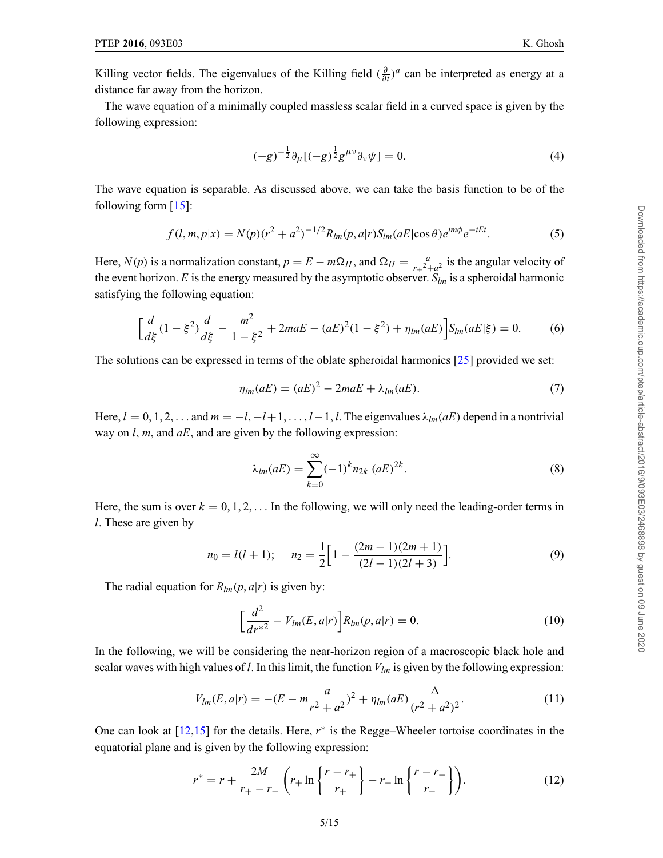Killing vector fields. The eigenvalues of the Killing field  $(\frac{\partial}{\partial t})^a$  can be interpreted as energy at a distance far away from the horizon.

The wave equation of a minimally coupled massless scalar field in a curved space is given by the following expression:

$$
(-g)^{-\frac{1}{2}}\partial_{\mu} [(-g)^{\frac{1}{2}} g^{\mu\nu} \partial_{\nu} \psi] = 0.
$$
 (4)

The wave equation is separable. As discussed above, we can take the basis function to be of the following form [\[15](#page-13-0)]:

$$
f(l,m,p|x) = N(p)(r^2 + a^2)^{-1/2} R_{lm}(p,a|r) S_{lm}(aE|\cos\theta)e^{im\phi}e^{-iEt}.
$$
 (5)

Here,  $N(p)$  is a normalization constant,  $p = E - m\Omega_H$ , and  $\Omega_H = \frac{a}{r_+^2 + a^2}$  is the angular velocity of the event horizon.  $E$  is the energy measured by the asymptotic observer.  $S_{lm}$  is a spheroidal harmonic satisfying the following equation:

$$
\left[\frac{d}{d\xi}(1-\xi^2)\frac{d}{d\xi} - \frac{m^2}{1-\xi^2} + 2maE - (aE)^2(1-\xi^2) + \eta_{lm}(aE)\right]S_{lm}(aE|\xi) = 0.
$$
 (6)

The solutions can be expressed in terms of the oblate spheroidal harmonics [\[25\]](#page-13-0) provided we set:

$$
\eta_{lm}(aE) = (aE)^2 - 2maE + \lambda_{lm}(aE). \tag{7}
$$

Here,  $l = 0, 1, 2, \ldots$  and  $m = -l, -l+1, \ldots, l-1, l$ . The eigenvalues  $\lambda_{lm}(aE)$  depend in a nontrivial way on *l*, *m*, and *aE*, and are given by the following expression:

$$
\lambda_{lm}(aE) = \sum_{k=0}^{\infty} (-1)^k n_{2k} (aE)^{2k}.
$$
 (8)

Here, the sum is over  $k = 0, 1, 2, \ldots$  In the following, we will only need the leading-order terms in *l*. These are given by

$$
n_0 = l(l+1); \quad n_2 = \frac{1}{2} \left[ 1 - \frac{(2m-1)(2m+1)}{(2l-1)(2l+3)} \right].
$$
\n(9)

The radial equation for  $R_{lm}(p, a|r)$  is given by:

$$
\left[\frac{d^2}{dr^{*2}} - V_{lm}(E, a|r)\right]R_{lm}(p, a|r) = 0.
$$
\n(10)

In the following, we will be considering the near-horizon region of a macroscopic black hole and scalar waves with high values of *l*. In this limit, the function  $V_{lm}$  is given by the following expression:

$$
V_{lm}(E, a|r) = -(E - m\frac{a}{r^2 + a^2})^2 + \eta_{lm}(aE)\frac{\Delta}{(r^2 + a^2)^2}.
$$
 (11)

One can look at [\[12,15](#page-13-0)] for the details. Here, *r*<sup>∗</sup> is the Regge–Wheeler tortoise coordinates in the equatorial plane and is given by the following expression:

$$
r^* = r + \frac{2M}{r_+ - r_-} \left( r_+ \ln \left\{ \frac{r - r_+}{r_+} \right\} - r_- \ln \left\{ \frac{r - r_-}{r_-} \right\} \right).
$$
 (12)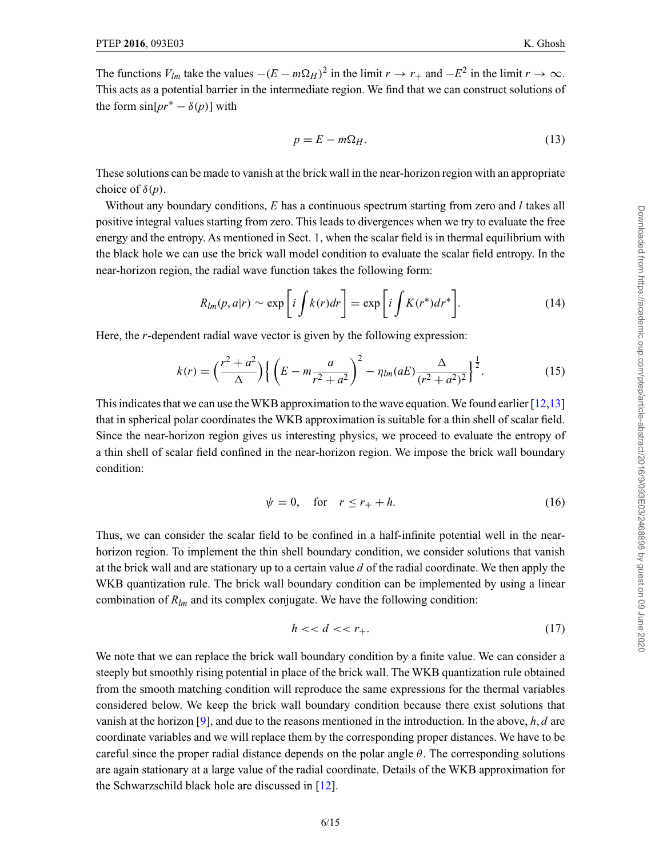The functions *V<sub>lm</sub>* take the values  $-(E - m\Omega_H)^2$  in the limit  $r \to r_+$  and  $-E^2$  in the limit  $r \to \infty$ . This acts as a potential barrier in the intermediate region. We find that we can construct solutions of the form  $sin[pr^* - \delta(p)]$  with

$$
p = E - m\Omega_H. \tag{13}
$$

These solutions can be made to vanish at the brick wall in the near-horizon region with an appropriate choice of  $\delta(p)$ .

Without any boundary conditions, *E* has a continuous spectrum starting from zero and *l* takes all positive integral values starting from zero. This leads to divergences when we try to evaluate the free energy and the entropy. As mentioned in Sect. 1, when the scalar field is in thermal equilibrium with the black hole we can use the brick wall model condition to evaluate the scalar field entropy. In the near-horizon region, the radial wave function takes the following form:

$$
R_{lm}(p,a|r) \sim \exp\left[i\int k(r)dr\right] = \exp\left[i\int K(r^*)dr^*\right].
$$
 (14)

Here, the *r*-dependent radial wave vector is given by the following expression:

$$
k(r) = \left(\frac{r^2 + a^2}{\Delta}\right) \left\{ \left(E - m \frac{a}{r^2 + a^2}\right)^2 - \eta_{lm}(aE) \frac{\Delta}{(r^2 + a^2)^2} \right\}^{\frac{1}{2}}.
$$
 (15)

This indicates that we can use theWKB approximation to the wave equation.We found earlier [\[12,13](#page-13-0)] that in spherical polar coordinates the WKB approximation is suitable for a thin shell of scalar field. Since the near-horizon region gives us interesting physics, we proceed to evaluate the entropy of a thin shell of scalar field confined in the near-horizon region. We impose the brick wall boundary condition:

$$
\psi = 0, \quad \text{for} \quad r \le r_+ + h. \tag{16}
$$

Thus, we can consider the scalar field to be confined in a half-infinite potential well in the nearhorizon region. To implement the thin shell boundary condition, we consider solutions that vanish at the brick wall and are stationary up to a certain value *d* of the radial coordinate. We then apply the WKB quantization rule. The brick wall boundary condition can be implemented by using a linear combination of  $R_{lm}$  and its complex conjugate. We have the following condition:

$$
h \ll d \ll r_+.\tag{17}
$$

We note that we can replace the brick wall boundary condition by a finite value. We can consider a steeply but smoothly rising potential in place of the brick wall. The WKB quantization rule obtained from the smooth matching condition will reproduce the same expressions for the thermal variables considered below. We keep the brick wall boundary condition because there exist solutions that vanish at the horizon [\[9](#page-13-0)], and due to the reasons mentioned in the introduction. In the above, *h*, *d* are coordinate variables and we will replace them by the corresponding proper distances. We have to be careful since the proper radial distance depends on the polar angle  $\theta$ . The corresponding solutions are again stationary at a large value of the radial coordinate. Details of the WKB approximation for the Schwarzschild black hole are discussed in [\[12](#page-13-0)].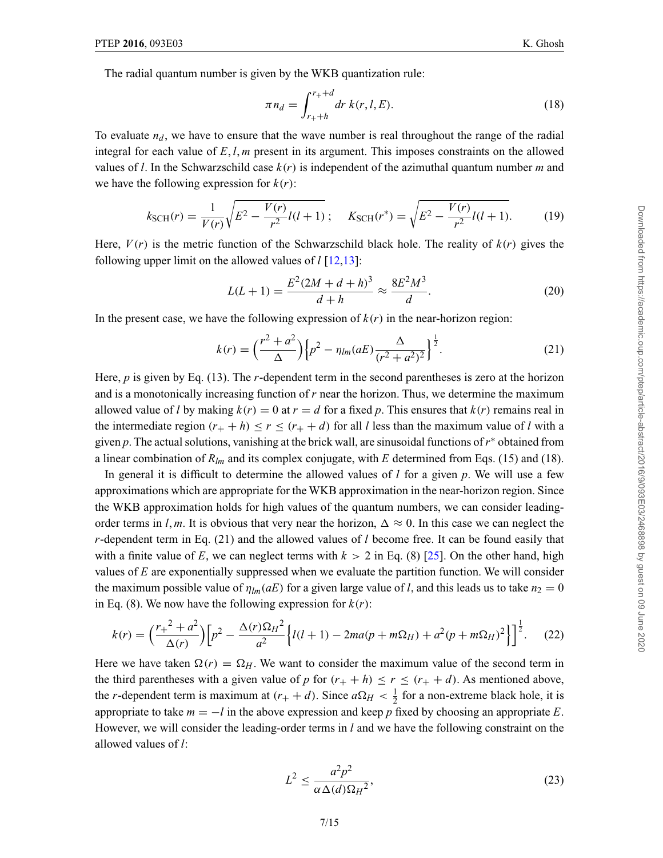$$
\pi n_d = \int_{r_+ + h}^{r_+ + d} dr \, k(r, l, E). \tag{18}
$$

To evaluate  $n_d$ , we have to ensure that the wave number is real throughout the range of the radial integral for each value of *E*, *l*, *m* present in its argument. This imposes constraints on the allowed values of *l*. In the Schwarzschild case *k*(*r*) is independent of the azimuthal quantum number *m* and we have the following expression for  $k(r)$ :

$$
k_{\text{SCH}}(r) = \frac{1}{V(r)} \sqrt{E^2 - \frac{V(r)}{r^2} l(l+1)} \, ; \quad K_{\text{SCH}}(r^*) = \sqrt{E^2 - \frac{V(r)}{r^2} l(l+1)} \, . \tag{19}
$$

Here,  $V(r)$  is the metric function of the Schwarzschild black hole. The reality of  $k(r)$  gives the following upper limit on the allowed values of *l* [\[12,13\]](#page-13-0):

$$
L(L+1) = \frac{E^2(2M+d+h)^3}{d+h} \approx \frac{8E^2M^3}{d}.
$$
 (20)

In the present case, we have the following expression of  $k(r)$  in the near-horizon region:

$$
k(r) = \left(\frac{r^2 + a^2}{\Delta}\right) \left\{p^2 - \eta_{lm}(aE)\frac{\Delta}{(r^2 + a^2)^2}\right\}^{\frac{1}{2}}.
$$
 (21)

Here, *p* is given by Eq. (13). The *r*-dependent term in the second parentheses is zero at the horizon and is a monotonically increasing function of *r* near the horizon. Thus, we determine the maximum allowed value of *l* by making  $k(r) = 0$  at  $r = d$  for a fixed p. This ensures that  $k(r)$  remains real in the intermediate region  $(r_{+} + h) \le r \le (r_{+} + d)$  for all *l* less than the maximum value of *l* with a given *p*. The actual solutions, vanishing at the brick wall, are sinusoidal functions of*r*<sup>∗</sup> obtained from a linear combination of *Rlm* and its complex conjugate, with *E* determined from Eqs. (15) and (18).

In general it is difficult to determine the allowed values of  $l$  for a given  $p$ . We will use a few approximations which are appropriate for the WKB approximation in the near-horizon region. Since the WKB approximation holds for high values of the quantum numbers, we can consider leadingorder terms in *l*, *m*. It is obvious that very near the horizon,  $\Delta \approx 0$ . In this case we can neglect the *r*-dependent term in Eq. (21) and the allowed values of *l* become free. It can be found easily that with a finite value of *E*, we can neglect terms with  $k > 2$  in Eq. (8) [\[25](#page-13-0)]. On the other hand, high values of *E* are exponentially suppressed when we evaluate the partition function. We will consider the maximum possible value of  $\eta_{lm}(aE)$  for a given large value of *l*, and this leads us to take  $n_2 = 0$ in Eq. (8). We now have the following expression for  $k(r)$ :

$$
k(r) = \left(\frac{r_+^2 + a^2}{\Delta(r)}\right) \left[p^2 - \frac{\Delta(r)\Omega_H^2}{a^2} \left\{l(l+1) - 2ma(p + m\Omega_H) + a^2(p + m\Omega_H)^2\right\}\right]^{\frac{1}{2}}.
$$
 (22)

Here we have taken  $\Omega(r) = \Omega_H$ . We want to consider the maximum value of the second term in the third parentheses with a given value of *p* for  $(r_{+} + h) \le r \le (r_{+} + d)$ . As mentioned above, the *r*-dependent term is maximum at  $(r_{+} + d)$ . Since  $a\Omega_H < \frac{1}{2}$  for a non-extreme black hole, it is appropriate to take  $m = -l$  in the above expression and keep p fixed by choosing an appropriate E. However, we will consider the leading-order terms in *l* and we have the following constraint on the allowed values of *l*:

$$
L^2 \le \frac{a^2 p^2}{\alpha \Delta(d) \Omega_H^2},\tag{23}
$$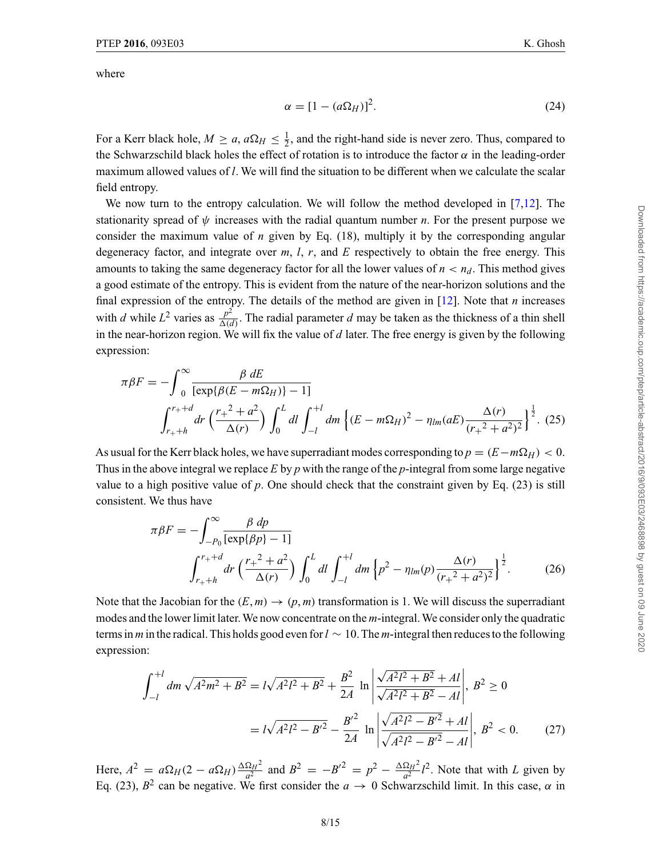where

$$
\alpha = [1 - (a\Omega_H)]^2. \tag{24}
$$

For a Kerr black hole,  $M \ge a$ ,  $a\Omega_H \le \frac{1}{2}$ , and the right-hand side is never zero. Thus, compared to the Schwarzschild black holes the effect of rotation is to introduce the factor  $\alpha$  in the leading-order maximum allowed values of *l*. We will find the situation to be different when we calculate the scalar field entropy.

We now turn to the entropy calculation. We will follow the method developed in [\[7,12\]](#page-13-0). The stationarity spread of  $\psi$  increases with the radial quantum number *n*. For the present purpose we consider the maximum value of *n* given by Eq. (18), multiply it by the corresponding angular degeneracy factor, and integrate over *m*, *l*, *r*, and *E* respectively to obtain the free energy. This amounts to taking the same degeneracy factor for all the lower values of  $n < n_d$ . This method gives a good estimate of the entropy. This is evident from the nature of the near-horizon solutions and the final expression of the entropy. The details of the method are given in [\[12\]](#page-13-0). Note that *n* increases with *d* while  $L^2$  varies as  $\frac{p^2}{\Delta(d)}$ . The radial parameter *d* may be taken as the thickness of a thin shell in the near-horizon region. We will fix the value of *d* later. The free energy is given by the following expression:

$$
\pi \beta F = -\int_0^\infty \frac{\beta \, dE}{\left[\exp\{\beta (E - m\Omega_H)\} - 1\right]} \int_{r_+ + h}^{r_+ + d} dr \left(\frac{r_+^2 + a^2}{\Delta(r)}\right) \int_0^L dl \int_{-l}^{+l} dm \left\{ (E - m\Omega_H)^2 - \eta_{lm}(aE) \frac{\Delta(r)}{(r_+^2 + a^2)^2} \right\}^{\frac{1}{2}}. (25)
$$

As usual for the Kerr black holes, we have superradiant modes corresponding to  $p = (E - m\Omega_H) < 0$ . Thus in the above integral we replace *E* by *p* with the range of the *p*-integral from some large negative value to a high positive value of *p*. One should check that the constraint given by Eq. (23) is still consistent. We thus have

$$
\pi \beta F = -\int_{-P_0}^{\infty} \frac{\beta \, dp}{\left[\exp\{\beta p\} - 1\right]}
$$

$$
\int_{r_+ + h}^{r_+ + d} dr \left(\frac{r_+^2 + a^2}{\Delta(r)}\right) \int_0^L dl \int_{-l}^{+l} dm \left\{p^2 - \eta_{lm}(p) \frac{\Delta(r)}{(r_+^2 + a^2)^2}\right\}^{\frac{1}{2}}.
$$
(26)

Note that the Jacobian for the  $(E, m) \rightarrow (p, m)$  transformation is 1. We will discuss the superradiant modes and the lower limit later.We now concentrate on the *m*-integral.We consider only the quadratic terms in *m* in the radical. This holds good even for*l* ∼ 10. The *m*-integral then reduces to the following expression:

$$
\int_{-l}^{+l} dm \sqrt{A^2 m^2 + B^2} = l \sqrt{A^2 l^2 + B^2} + \frac{B^2}{2A} \ln \left| \frac{\sqrt{A^2 l^2 + B^2} + Al}{\sqrt{A^2 l^2 + B^2} - Al} \right|, B^2 \ge 0
$$
  
=  $l \sqrt{A^2 l^2 - B'^2} - \frac{B'^2}{2A} \ln \left| \frac{\sqrt{A^2 l^2 - B'^2} + Al}{\sqrt{A^2 l^2 - B'^2} - Al} \right|, B^2 < 0.$  (27)

Here,  $A^2 = a\Omega_H(2 - a\Omega_H)\frac{\Delta\Omega_H^2}{a^2}$  and  $B^2 = -B'^2 = p^2 - \frac{\Delta\Omega_H^2}{a^2}l^2$ . Note that with *L* given by Eq. (23),  $B^2$  can be negative. We first consider the  $a \to 0$  Schwarzschild limit. In this case,  $\alpha$  in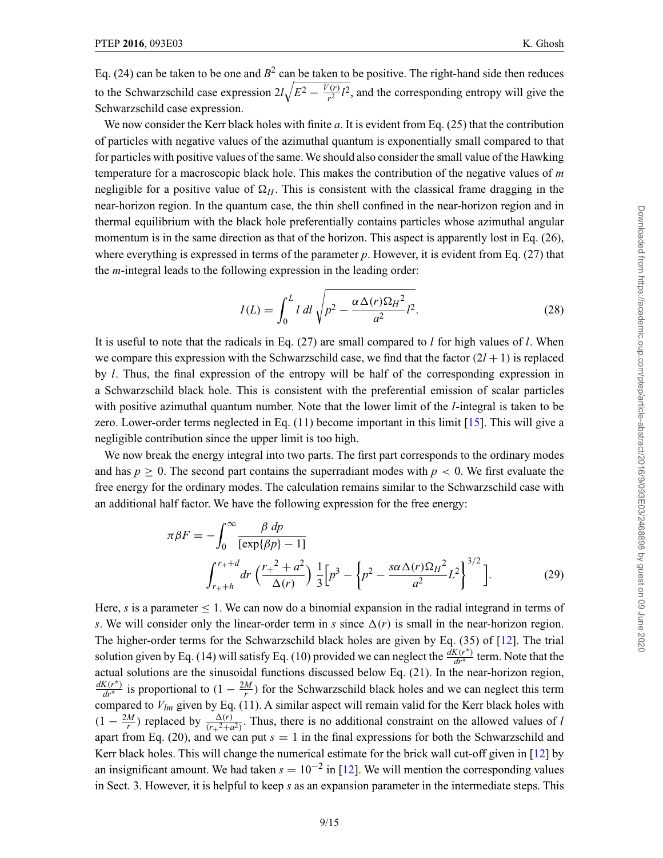Eq. (24) can be taken to be one and  $B^2$  can be taken to be positive. The right-hand side then reduces to the Schwarzschild case expression  $2l\sqrt{E^2 - \frac{V(r)}{r^2}l^2}$ , and the corresponding entropy will give the Schwarzschild case expression.

We now consider the Kerr black holes with finite *a*. It is evident from Eq. (25) that the contribution of particles with negative values of the azimuthal quantum is exponentially small compared to that for particles with positive values of the same.We should also consider the small value of the Hawking temperature for a macroscopic black hole. This makes the contribution of the negative values of *m* negligible for a positive value of  $\Omega_H$ . This is consistent with the classical frame dragging in the near-horizon region. In the quantum case, the thin shell confined in the near-horizon region and in thermal equilibrium with the black hole preferentially contains particles whose azimuthal angular momentum is in the same direction as that of the horizon. This aspect is apparently lost in Eq. (26), where everything is expressed in terms of the parameter *p*. However, it is evident from Eq. (27) that the *m*-integral leads to the following expression in the leading order:

$$
I(L) = \int_0^L l \, dl \sqrt{p^2 - \frac{\alpha \Delta(r) \Omega_H^2}{a^2} l^2}.
$$
 (28)

It is useful to note that the radicals in Eq. (27) are small compared to *l* for high values of *l*. When we compare this expression with the Schwarzschild case, we find that the factor  $(2l + 1)$  is replaced by *l*. Thus, the final expression of the entropy will be half of the corresponding expression in a Schwarzschild black hole. This is consistent with the preferential emission of scalar particles with positive azimuthal quantum number. Note that the lower limit of the *l*-integral is taken to be zero. Lower-order terms neglected in Eq. (11) become important in this limit [\[15](#page-13-0)]. This will give a negligible contribution since the upper limit is too high.

We now break the energy integral into two parts. The first part corresponds to the ordinary modes and has  $p \ge 0$ . The second part contains the superradiant modes with  $p < 0$ . We first evaluate the free energy for the ordinary modes. The calculation remains similar to the Schwarzschild case with an additional half factor. We have the following expression for the free energy:

$$
\pi \beta F = -\int_0^\infty \frac{\beta \, dp}{\left[\exp\{\beta p\} - 1\right]}
$$

$$
\int_{r_+ + h}^{r_+ + d} dr \left(\frac{r_+^2 + a^2}{\Delta(r)}\right) \frac{1}{3} \left[p^3 - \left\{p^2 - \frac{s\alpha \Delta(r)\Omega_H^2}{a^2} L^2\right\}^{3/2}\right].
$$
(29)

Here, *s* is a parameter  $\leq 1$ . We can now do a binomial expansion in the radial integrand in terms of *s*. We will consider only the linear-order term in *s* since  $\Delta(r)$  is small in the near-horizon region. The higher-order terms for the Schwarzschild black holes are given by Eq. (35) of [\[12](#page-13-0)]. The trial solution given by Eq. (14) will satisfy Eq. (10) provided we can neglect the  $\frac{dK(r^*)}{dr^*}$  term. Note that the actual solutions are the sinusoidal functions discussed below Eq. (21). In the near-horizon region,  $\frac{dK(r^*)}{dr^*}$  is proportional to  $(1 - \frac{2M}{r})$  for the Schwarzschild black holes and we can neglect this term compared to *Vlm* given by Eq. (11). A similar aspect will remain valid for the Kerr black holes with  $(1 - \frac{2M}{r})$  replaced by  $\frac{\Delta(r)}{(r_+^2 + a^2)}$ . Thus, there is no additional constraint on the allowed values of *l* apart from Eq. (20), and we can put  $s = 1$  in the final expressions for both the Schwarzschild and Kerr black holes. This will change the numerical estimate for the brick wall cut-off given in [\[12\]](#page-13-0) by an insignificant amount. We had taken  $s = 10^{-2}$  in [\[12](#page-13-0)]. We will mention the corresponding values in Sect. 3. However, it is helpful to keep *s* as an expansion parameter in the intermediate steps. This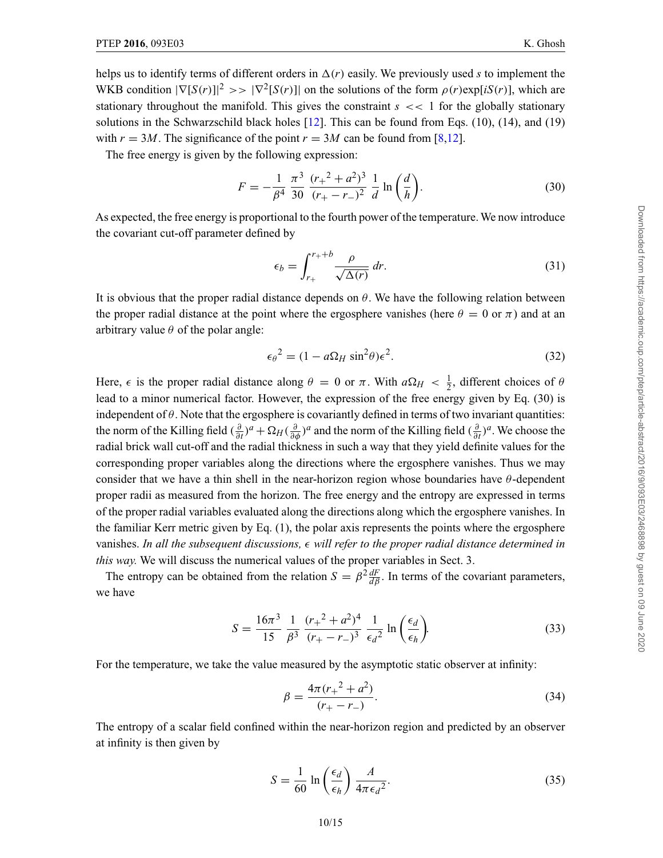helps us to identify terms of different orders in  $\Delta(r)$  easily. We previously used *s* to implement the WKB condition  $|\nabla [S(r)]|^2 >> |\nabla^2 [S(r)]|$  on the solutions of the form  $\rho(r) \exp[iS(r)]$ , which are stationary throughout the manifold. This gives the constraint  $s \ll 1$  for the globally stationary solutions in the Schwarzschild black holes [\[12](#page-13-0)]. This can be found from Eqs. (10), (14), and (19) with  $r = 3M$ . The significance of the point  $r = 3M$  can be found from [\[8,12\]](#page-13-0).

The free energy is given by the following expression:

$$
F = -\frac{1}{\beta^4} \frac{\pi^3}{30} \frac{(r_+^2 + a^2)^3}{(r_+ - r_-)^2} \frac{1}{d} \ln\left(\frac{d}{h}\right).
$$
 (30)

As expected, the free energy is proportional to the fourth power of the temperature.We now introduce the covariant cut-off parameter defined by

$$
\epsilon_b = \int_{r_+}^{r_+ + b} \frac{\rho}{\sqrt{\Delta(r)}} dr.
$$
\n(31)

It is obvious that the proper radial distance depends on  $\theta$ . We have the following relation between the proper radial distance at the point where the ergosphere vanishes (here  $\theta = 0$  or  $\pi$ ) and at an arbitrary value  $\theta$  of the polar angle:

$$
\epsilon_{\theta}^2 = (1 - a\Omega_H \sin^2 \theta) \epsilon^2. \tag{32}
$$

Here,  $\epsilon$  is the proper radial distance along  $\theta = 0$  or  $\pi$ . With  $a\Omega_H < \frac{1}{2}$ , different choices of  $\theta$ lead to a minor numerical factor. However, the expression of the free energy given by Eq. (30) is independent of  $\theta$ . Note that the ergosphere is covariantly defined in terms of two invariant quantities: the norm of the Killing field  $(\frac{\partial}{\partial t})^a + \Omega_H(\frac{\partial}{\partial \phi})^a$  and the norm of the Killing field  $(\frac{\partial}{\partial t})^a$ . We choose the radial brick wall cut-off and the radial thickness in such a way that they yield definite values for the corresponding proper variables along the directions where the ergosphere vanishes. Thus we may consider that we have a thin shell in the near-horizon region whose boundaries have  $\theta$ -dependent proper radii as measured from the horizon. The free energy and the entropy are expressed in terms of the proper radial variables evaluated along the directions along which the ergosphere vanishes. In the familiar Kerr metric given by Eq. (1), the polar axis represents the points where the ergosphere vanishes. *In all the subsequent discussions, will refer to the proper radial distance determined in this way.* We will discuss the numerical values of the proper variables in Sect. 3.

The entropy can be obtained from the relation  $S = \beta^2 \frac{dF}{d\beta}$ . In terms of the covariant parameters, we have

$$
S = \frac{16\pi^3}{15} \frac{1}{\beta^3} \frac{(r_+^2 + a^2)^4}{(r_+ - r_-)^3} \frac{1}{\epsilon_d^2} \ln\left(\frac{\epsilon_d}{\epsilon_h}\right).
$$
 (33)

For the temperature, we take the value measured by the asymptotic static observer at infinity:

$$
\beta = \frac{4\pi (r_+^2 + a^2)}{(r_+ - r_-)}.
$$
\n(34)

The entropy of a scalar field confined within the near-horizon region and predicted by an observer at infinity is then given by

$$
S = \frac{1}{60} \ln \left( \frac{\epsilon_d}{\epsilon_h} \right) \frac{A}{4\pi \epsilon_d^2}.
$$
 (35)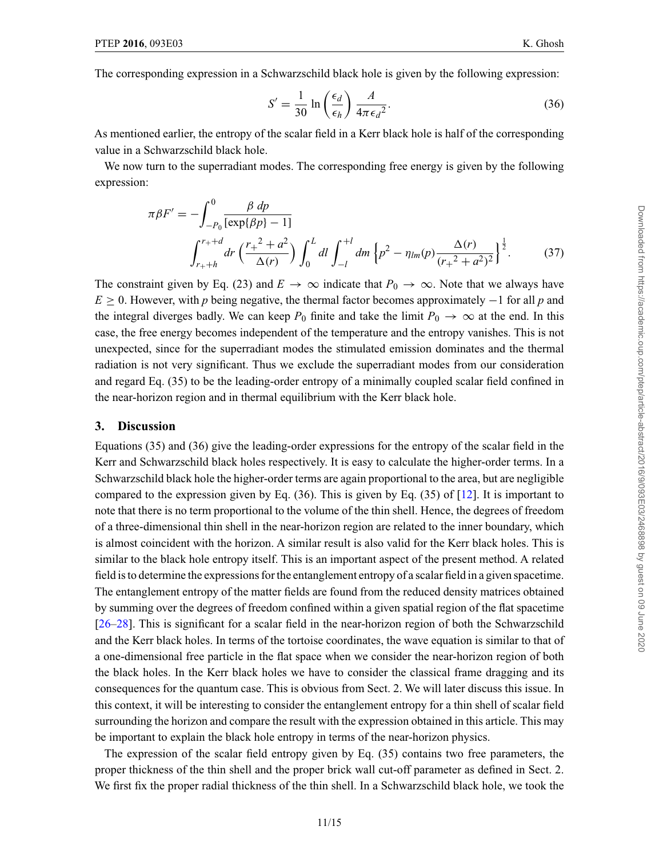$$
S' = \frac{1}{30} \ln \left( \frac{\epsilon_d}{\epsilon_h} \right) \frac{A}{4\pi \epsilon_d^2}.
$$
 (36)

As mentioned earlier, the entropy of the scalar field in a Kerr black hole is half of the corresponding value in a Schwarzschild black hole.

We now turn to the superradiant modes. The corresponding free energy is given by the following expression:

$$
\pi \beta F' = -\int_{-P_0}^{0} \frac{\beta \, dp}{\left[\exp\{\beta p\} - 1\right]}
$$

$$
\int_{r_+ + h}^{r_+ + d} dr \left(\frac{r_+^2 + a^2}{\Delta(r)}\right) \int_0^L dl \int_{-l}^{+l} dm \left\{p^2 - \eta_{lm}(p) \frac{\Delta(r)}{(r_+^2 + a^2)^2}\right\}^{\frac{1}{2}}.
$$
(37)

The constraint given by Eq. (23) and  $E \to \infty$  indicate that  $P_0 \to \infty$ . Note that we always have *E* ≥ 0. However, with *p* being negative, the thermal factor becomes approximately −1 for all *p* and the integral diverges badly. We can keep  $P_0$  finite and take the limit  $P_0 \to \infty$  at the end. In this case, the free energy becomes independent of the temperature and the entropy vanishes. This is not unexpected, since for the superradiant modes the stimulated emission dominates and the thermal radiation is not very significant. Thus we exclude the superradiant modes from our consideration and regard Eq. (35) to be the leading-order entropy of a minimally coupled scalar field confined in the near-horizon region and in thermal equilibrium with the Kerr black hole.

#### **3. Discussion**

Equations (35) and (36) give the leading-order expressions for the entropy of the scalar field in the Kerr and Schwarzschild black holes respectively. It is easy to calculate the higher-order terms. In a Schwarzschild black hole the higher-order terms are again proportional to the area, but are negligible compared to the expression given by Eq.  $(36)$ . This is given by Eq.  $(35)$  of [\[12\]](#page-13-0). It is important to note that there is no term proportional to the volume of the thin shell. Hence, the degrees of freedom of a three-dimensional thin shell in the near-horizon region are related to the inner boundary, which is almost coincident with the horizon. A similar result is also valid for the Kerr black holes. This is similar to the black hole entropy itself. This is an important aspect of the present method. A related field is to determine the expressions for the entanglement entropy of a scalar field in a given spacetime. The entanglement entropy of the matter fields are found from the reduced density matrices obtained by summing over the degrees of freedom confined within a given spatial region of the flat spacetime [\[26–28\]](#page-13-0). This is significant for a scalar field in the near-horizon region of both the Schwarzschild and the Kerr black holes. In terms of the tortoise coordinates, the wave equation is similar to that of a one-dimensional free particle in the flat space when we consider the near-horizon region of both the black holes. In the Kerr black holes we have to consider the classical frame dragging and its consequences for the quantum case. This is obvious from Sect. 2. We will later discuss this issue. In this context, it will be interesting to consider the entanglement entropy for a thin shell of scalar field surrounding the horizon and compare the result with the expression obtained in this article. This may be important to explain the black hole entropy in terms of the near-horizon physics.

The expression of the scalar field entropy given by Eq. (35) contains two free parameters, the proper thickness of the thin shell and the proper brick wall cut-off parameter as defined in Sect. 2. We first fix the proper radial thickness of the thin shell. In a Schwarzschild black hole, we took the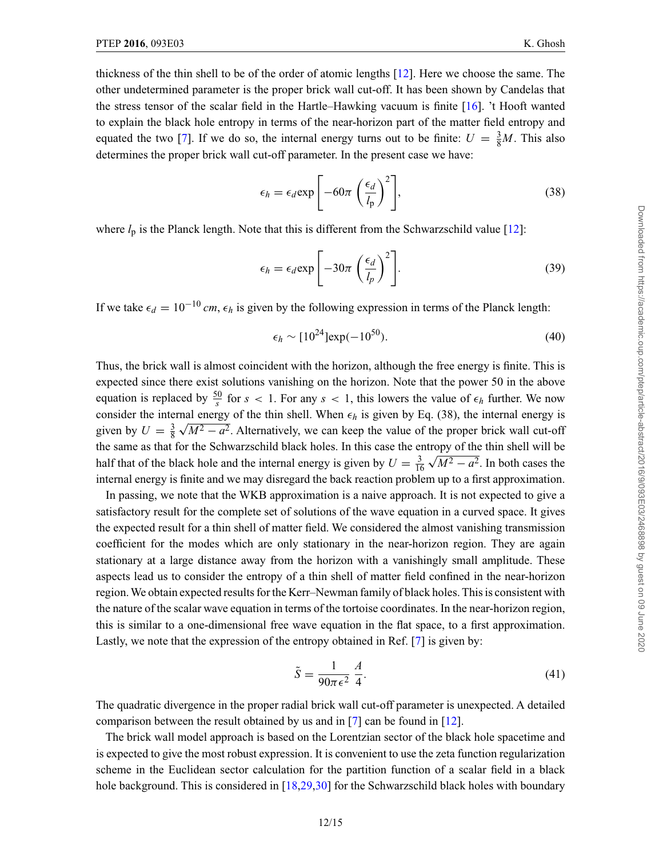thickness of the thin shell to be of the order of atomic lengths [\[12\]](#page-13-0). Here we choose the same. The other undetermined parameter is the proper brick wall cut-off. It has been shown by Candelas that the stress tensor of the scalar field in the Hartle–Hawking vacuum is finite [\[16](#page-13-0)]. 't Hooft wanted to explain the black hole entropy in terms of the near-horizon part of the matter field entropy and equated the two [\[7](#page-13-0)]. If we do so, the internal energy turns out to be finite:  $U = \frac{3}{8}M$ . This also determines the proper brick wall cut-off parameter. In the present case we have:

$$
\epsilon_h = \epsilon_d \exp\left[-60\pi \left(\frac{\epsilon_d}{l_p}\right)^2\right],\tag{38}
$$

where  $l_p$  is the Planck length. Note that this is different from the Schwarzschild value [\[12\]](#page-13-0):

$$
\epsilon_h = \epsilon_d \exp\left[-30\pi \left(\frac{\epsilon_d}{l_p}\right)^2\right].
$$
\n(39)

If we take  $\epsilon_d = 10^{-10}$  *cm*,  $\epsilon_h$  is given by the following expression in terms of the Planck length:

$$
\epsilon_h \sim [10^{24}] \exp(-10^{50}).
$$
\n(40)

Thus, the brick wall is almost coincident with the horizon, although the free energy is finite. This is expected since there exist solutions vanishing on the horizon. Note that the power 50 in the above equation is replaced by  $\frac{50}{s}$  for  $s < 1$ . For any  $s < 1$ , this lowers the value of  $\epsilon_h$  further. We now consider the internal energy of the thin shell. When  $\epsilon_h$  is given by Eq. (38), the internal energy is given by  $U = \frac{3}{8} \sqrt{M^2 - a^2}$ . Alternatively, we can keep the value of the proper brick wall cut-off the same as that for the Schwarzschild black holes. In this case the entropy of the thin shell will be half that of the black hole and the internal energy is given by  $U = \frac{3}{16} \sqrt{M^2 - a^2}$ . In both cases the internal energy is finite and we may disregard the back reaction problem up to a first approximation.

In passing, we note that the WKB approximation is a naive approach. It is not expected to give a satisfactory result for the complete set of solutions of the wave equation in a curved space. It gives the expected result for a thin shell of matter field. We considered the almost vanishing transmission coefficient for the modes which are only stationary in the near-horizon region. They are again stationary at a large distance away from the horizon with a vanishingly small amplitude. These aspects lead us to consider the entropy of a thin shell of matter field confined in the near-horizon region.We obtain expected results for the Kerr–Newman family of black holes. This is consistent with the nature of the scalar wave equation in terms of the tortoise coordinates. In the near-horizon region, this is similar to a one-dimensional free wave equation in the flat space, to a first approximation. Lastly, we note that the expression of the entropy obtained in Ref. [\[7](#page-13-0)] is given by:

$$
\tilde{S} = \frac{1}{90\pi\epsilon^2} \frac{A}{4}.
$$
\n(41)

The quadratic divergence in the proper radial brick wall cut-off parameter is unexpected. A detailed comparison between the result obtained by us and in [\[7\]](#page-13-0) can be found in [\[12](#page-13-0)].

The brick wall model approach is based on the Lorentzian sector of the black hole spacetime and is expected to give the most robust expression. It is convenient to use the zeta function regularization scheme in the Euclidean sector calculation for the partition function of a scalar field in a black hole background. This is considered in [\[18,29,30](#page-13-0)] for the Schwarzschild black holes with boundary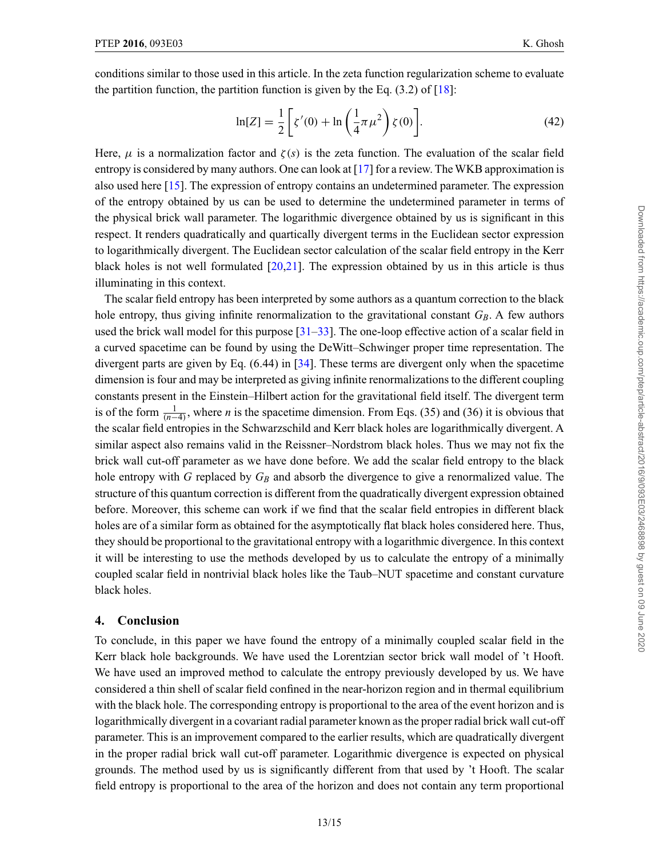conditions similar to those used in this article. In the zeta function regularization scheme to evaluate the partition function, the partition function is given by the Eq.  $(3.2)$  of  $[18]$  $[18]$ :

$$
\ln[Z] = \frac{1}{2} \left[ \zeta'(0) + \ln\left(\frac{1}{4}\pi\mu^2\right) \zeta(0) \right].
$$
 (42)

Here,  $\mu$  is a normalization factor and  $\zeta(s)$  is the zeta function. The evaluation of the scalar field entropy is considered by many authors. One can look at  $[17]$  $[17]$  for a review. The WKB approximation is also used here [\[15\]](#page-13-0). The expression of entropy contains an undetermined parameter. The expression of the entropy obtained by us can be used to determine the undetermined parameter in terms of the physical brick wall parameter. The logarithmic divergence obtained by us is significant in this respect. It renders quadratically and quartically divergent terms in the Euclidean sector expression to logarithmically divergent. The Euclidean sector calculation of the scalar field entropy in the Kerr black holes is not well formulated [\[20,21](#page-13-0)]. The expression obtained by us in this article is thus illuminating in this context.

The scalar field entropy has been interpreted by some authors as a quantum correction to the black hole entropy, thus giving infinite renormalization to the gravitational constant  $G_B$ . A few authors used the brick wall model for this purpose  $[31–33]$  $[31–33]$ . The one-loop effective action of a scalar field in a curved spacetime can be found by using the DeWitt–Schwinger proper time representation. The divergent parts are given by Eq. (6.44) in [\[34](#page-14-0)]. These terms are divergent only when the spacetime dimension is four and may be interpreted as giving infinite renormalizations to the different coupling constants present in the Einstein–Hilbert action for the gravitational field itself. The divergent term is of the form  $\frac{1}{(n-4)}$ , where *n* is the spacetime dimension. From Eqs. (35) and (36) it is obvious that the scalar field entropies in the Schwarzschild and Kerr black holes are logarithmically divergent. A similar aspect also remains valid in the Reissner–Nordstrom black holes. Thus we may not fix the brick wall cut-off parameter as we have done before. We add the scalar field entropy to the black hole entropy with *G* replaced by *G<sub>B</sub>* and absorb the divergence to give a renormalized value. The structure of this quantum correction is different from the quadratically divergent expression obtained before. Moreover, this scheme can work if we find that the scalar field entropies in different black holes are of a similar form as obtained for the asymptotically flat black holes considered here. Thus, they should be proportional to the gravitational entropy with a logarithmic divergence. In this context it will be interesting to use the methods developed by us to calculate the entropy of a minimally coupled scalar field in nontrivial black holes like the Taub–NUT spacetime and constant curvature black holes.

#### **4. Conclusion**

To conclude, in this paper we have found the entropy of a minimally coupled scalar field in the Kerr black hole backgrounds. We have used the Lorentzian sector brick wall model of 't Hooft. We have used an improved method to calculate the entropy previously developed by us. We have considered a thin shell of scalar field confined in the near-horizon region and in thermal equilibrium with the black hole. The corresponding entropy is proportional to the area of the event horizon and is logarithmically divergent in a covariant radial parameter known as the proper radial brick wall cut-off parameter. This is an improvement compared to the earlier results, which are quadratically divergent in the proper radial brick wall cut-off parameter. Logarithmic divergence is expected on physical grounds. The method used by us is significantly different from that used by 't Hooft. The scalar field entropy is proportional to the area of the horizon and does not contain any term proportional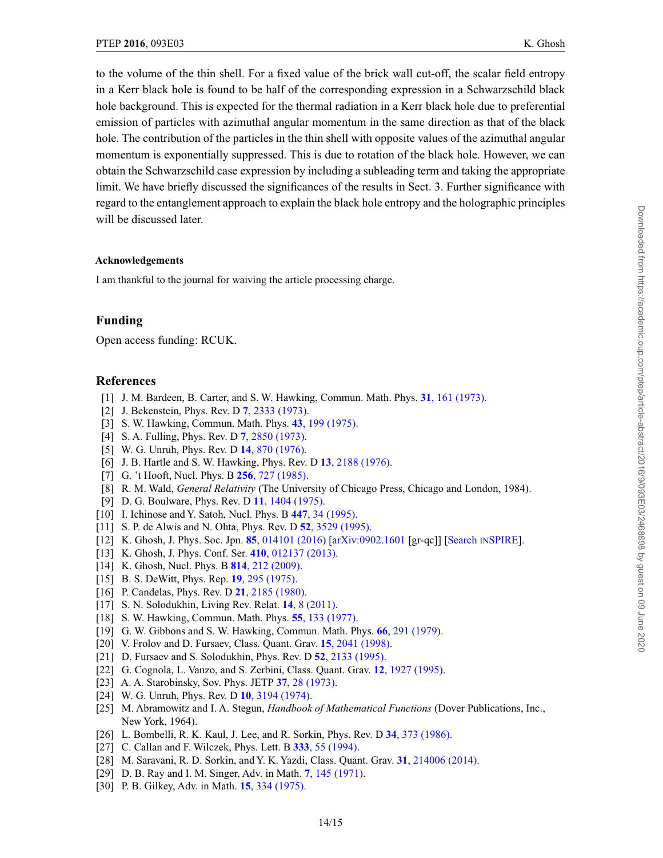<span id="page-13-0"></span>to the volume of the thin shell. For a fixed value of the brick wall cut-off, the scalar field entropy in a Kerr black hole is found to be half of the corresponding expression in a Schwarzschild black hole background. This is expected for the thermal radiation in a Kerr black hole due to preferential emission of particles with azimuthal angular momentum in the same direction as that of the black hole. The contribution of the particles in the thin shell with opposite values of the azimuthal angular momentum is exponentially suppressed. This is due to rotation of the black hole. However, we can obtain the Schwarzschild case expression by including a subleading term and taking the appropriate limit. We have briefly discussed the significances of the results in Sect. 3. Further significance with regard to the entanglement approach to explain the black hole entropy and the holographic principles will be discussed later.

#### **Acknowledgements**

I am thankful to the journal for waiving the article processing charge.

## **Funding**

Open access funding: RCUK.

## **References**

- [1] J. M. Bardeen, B. Carter, and S. W. Hawking, Commun. Math. Phys. **31**[, 161 \(1973\).](http://dx.doi.org/10.1007/BF01645742)
- [2] J. Bekenstein, Phys. Rev. D **7**[, 2333 \(1973\).](http://dx.doi.org/10.1103/PhysRevD.7.2333)
- [3] S. W. Hawking, Commun. Math. Phys. **43**[, 199 \(1975\).](http://dx.doi.org/10.1007/BF02345020)
- [4] S. A. Fulling, Phys. Rev. D **7**[, 2850 \(1973\).](http://dx.doi.org/10.1103/PhysRevD.7.2850)
- [5] W. G. Unruh, Phys. Rev. D **14**[, 870 \(1976\).](http://dx.doi.org/10.1103/PhysRevD.14.870)
- [6] J. B. Hartle and S. W. Hawking, Phys. Rev. D **13**[, 2188 \(1976\).](http://dx.doi.org/10.1103/PhysRevD.13.2188)
- [7] G. 't Hooft, Nucl. Phys. B **256**[, 727 \(1985\).](doi:10.1016/0550-3213(85)90418-3)
- [8] R. M. Wald, *General Relativity* (The University of Chicago Press, Chicago and London, 1984).
- [9] D. G. Boulware, Phys. Rev. D **11**[, 1404 \(1975\).](http://dx.doi.org/10.1103/PhysRevD.11.1404)
- [10] I. Ichinose and Y. Satoh, Nucl. Phys. B **447**[, 34 \(1995\).](http://dx.doi.org/10.1016/0550-3213(95)00197-Z)
- [11] S. P. de Alwis and N. Ohta, Phys. Rev. D **52**[, 3529 \(1995\).](http://dx.doi.org/10.1103/PhysRevD.52.3529)
- [12] K. Ghosh, J. Phys. Soc. Jpn. **85**[, 014101 \(2016\)](http://dx.doi.org/10.7566/JPSJ.85.014101) [\[arXiv:0902.1601](http://www.arxiv.org/abs/0902.1601) [gr-qc]] [\[Search](http://www.inspirehep.net/search?p=find+EPRINT+0902.1601) [INSPIRE\]](http://www.inspirehep.net/search?p=find+EPRINT+0902.1601).
- [13] K. Ghosh, J. Phys. Conf. Ser. **410**[, 012137 \(2013\).](http://dx.doi.org/10.1088/1742-6596/410/1/012137)
- [14] K. Ghosh, Nucl. Phys. B **814**[, 212 \(2009\).](http://dx.doi.org/10.1016/j.nuclphysb.2009.01.023)
- [15] B. S. DeWitt, Phys. Rep. **19**[, 295 \(1975\).](http://dx.doi.org/10.1016/0370-1573(75)90051-4)
- [16] P. Candelas, Phys. Rev. D **21**[, 2185 \(1980\).](http://dx.doi.org/10.1103/PhysRevD.21.2185)
- [17] S. N. Solodukhin, Living Rev. Relat. **14**[, 8 \(2011\).](http://dx.doi.org/10.12942/lrr-2011-8)
- [18] S. W. Hawking, Commun. Math. Phys. **55**[, 133 \(1977\).](http://dx.doi.org/10.1007/BF01626516)
- [19] G. W. Gibbons and S. W. Hawking, Commun. Math. Phys. **66**[, 291 \(1979\).](http://dx.doi.org/10.1007/BF01197189)
- [20] V. Frolov and D. Fursaev, Class. Quant. Grav. **15**[, 2041 \(1998\).](http://dx.doi.org/10.1088/0264-9381/15/8/001)
- [21] D. Fursaev and S. Solodukhin, Phys. Rev. D **52**[, 2133 \(1995\).](http://dx.doi.org/10.1103/PhysRevD.52.2133)
- [22] G. Cognola, L. Vanzo, and S. Zerbini, Class. Quant. Grav. **12**[, 1927 \(1995\).](http://dx.doi.org/10.1088/0264-9381/12/8/010)
- [23] A. A. Starobinsky, Sov. Phys. JETP **37**[, 28 \(1973\).](http://www.jetp.ac.ru/cgi-bin/dn/eprotect LY1	extunderscore 037protect LY1	extunderscore 01protect LY1	extunderscore 0028.pdf)
- [24] W. G. Unruh, Phys. Rev. D **10**[, 3194 \(1974\).](http://dx.doi.org/10.1103/PhysRevD.10.3194)
- [25] M. Abramowitz and I. A. Stegun, *Handbook of Mathematical Functions* (Dover Publications, Inc., New York, 1964).
- [26] L. Bombelli, R. K. Kaul, J. Lee, and R. Sorkin, Phys. Rev. D **34**[, 373 \(1986\).](http://dx.doi.org/10.1103/PhysRevD.34.373)
- [27] C. Callan and F. Wilczek, Phys. Lett. B **333**[, 55 \(1994\).](http://dx.doi.org/10.1016/0370-2693(94)91007-3)
- [28] M. Saravani, R. D. Sorkin, and Y. K. Yazdi, Class. Quant. Grav. **31**[, 214006 \(2014\).](http://dx.doi.org/10.1088/0264-9381/31/21/214006)
- [29] D. B. Ray and I. M. Singer, Adv. in Math. **7**[, 145 \(1971\).](http://dx.doi.org/10.1016/0041-0101(71)90106-1)
- [30] P. B. Gilkey, Adv. in Math. **15**[, 334 \(1975\).](http://dx.doi.org/10.1016/0001-8708(75)90141-3)